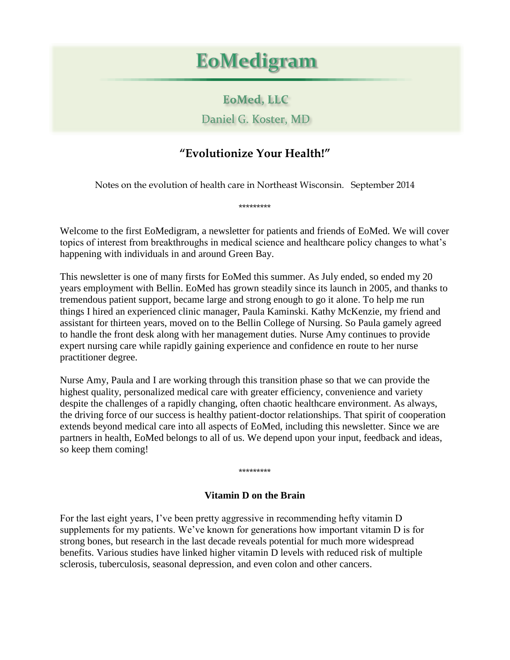## **EoMedigram**

## **EoMed, LLC**

Daniel G. Koster, MD

## **"Evolutionize Your Health!"**

Notes on the evolution of health care in Northeast Wisconsin. September 2014

\*\*\*\*\*\*\*\*\*

Welcome to the first EoMedigram, a newsletter for patients and friends of EoMed. We will cover topics of interest from breakthroughs in medical science and healthcare policy changes to what's happening with individuals in and around Green Bay.

This newsletter is one of many firsts for EoMed this summer. As July ended, so ended my 20 years employment with Bellin. EoMed has grown steadily since its launch in 2005, and thanks to tremendous patient support, became large and strong enough to go it alone. To help me run things I hired an experienced clinic manager, Paula Kaminski. Kathy McKenzie, my friend and assistant for thirteen years, moved on to the Bellin College of Nursing. So Paula gamely agreed to handle the front desk along with her management duties. Nurse Amy continues to provide expert nursing care while rapidly gaining experience and confidence en route to her nurse practitioner degree.

Nurse Amy, Paula and I are working through this transition phase so that we can provide the highest quality, personalized medical care with greater efficiency, convenience and variety despite the challenges of a rapidly changing, often chaotic healthcare environment. As always, the driving force of our success is healthy patient-doctor relationships. That spirit of cooperation extends beyond medical care into all aspects of EoMed, including this newsletter. Since we are partners in health, EoMed belongs to all of us. We depend upon your input, feedback and ideas, so keep them coming!

\*\*\*\*\*\*\*\*\*

## **Vitamin D on the Brain**

For the last eight years, I've been pretty aggressive in recommending hefty vitamin D supplements for my patients. We've known for generations how important vitamin D is for strong bones, but research in the last decade reveals potential for much more widespread benefits. Various studies have linked higher vitamin D levels with reduced risk of multiple sclerosis, tuberculosis, seasonal depression, and even colon and other cancers.